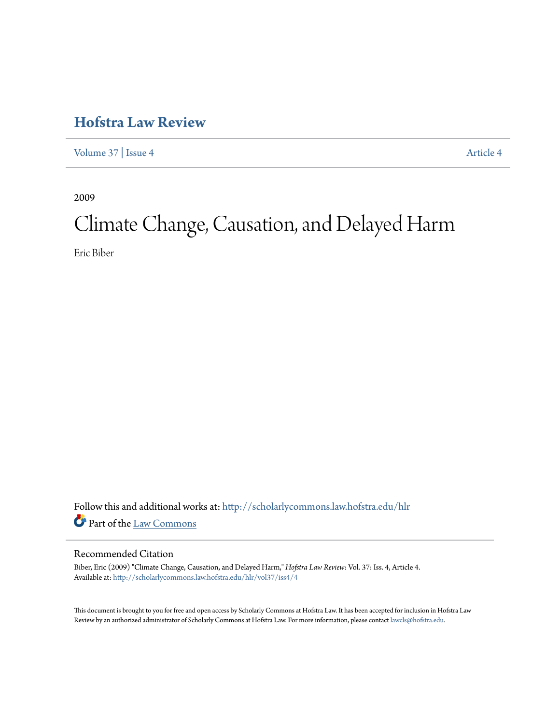## **[Hofstra Law Review](http://scholarlycommons.law.hofstra.edu/hlr?utm_source=scholarlycommons.law.hofstra.edu%2Fhlr%2Fvol37%2Fiss4%2F4&utm_medium=PDF&utm_campaign=PDFCoverPages)**

[Volume 37](http://scholarlycommons.law.hofstra.edu/hlr/vol37?utm_source=scholarlycommons.law.hofstra.edu%2Fhlr%2Fvol37%2Fiss4%2F4&utm_medium=PDF&utm_campaign=PDFCoverPages) | [Issue 4](http://scholarlycommons.law.hofstra.edu/hlr/vol37/iss4?utm_source=scholarlycommons.law.hofstra.edu%2Fhlr%2Fvol37%2Fiss4%2F4&utm_medium=PDF&utm_campaign=PDFCoverPages) [Article 4](http://scholarlycommons.law.hofstra.edu/hlr/vol37/iss4/4?utm_source=scholarlycommons.law.hofstra.edu%2Fhlr%2Fvol37%2Fiss4%2F4&utm_medium=PDF&utm_campaign=PDFCoverPages)

2009

# Climate Change, Causation, and Delayed Harm

Eric Biber

Follow this and additional works at: [http://scholarlycommons.law.hofstra.edu/hlr](http://scholarlycommons.law.hofstra.edu/hlr?utm_source=scholarlycommons.law.hofstra.edu%2Fhlr%2Fvol37%2Fiss4%2F4&utm_medium=PDF&utm_campaign=PDFCoverPages) Part of the [Law Commons](http://network.bepress.com/hgg/discipline/578?utm_source=scholarlycommons.law.hofstra.edu%2Fhlr%2Fvol37%2Fiss4%2F4&utm_medium=PDF&utm_campaign=PDFCoverPages)

#### Recommended Citation

Biber, Eric (2009) "Climate Change, Causation, and Delayed Harm," *Hofstra Law Review*: Vol. 37: Iss. 4, Article 4. Available at: [http://scholarlycommons.law.hofstra.edu/hlr/vol37/iss4/4](http://scholarlycommons.law.hofstra.edu/hlr/vol37/iss4/4?utm_source=scholarlycommons.law.hofstra.edu%2Fhlr%2Fvol37%2Fiss4%2F4&utm_medium=PDF&utm_campaign=PDFCoverPages)

This document is brought to you for free and open access by Scholarly Commons at Hofstra Law. It has been accepted for inclusion in Hofstra Law Review by an authorized administrator of Scholarly Commons at Hofstra Law. For more information, please contact [lawcls@hofstra.edu](mailto:lawcls@hofstra.edu).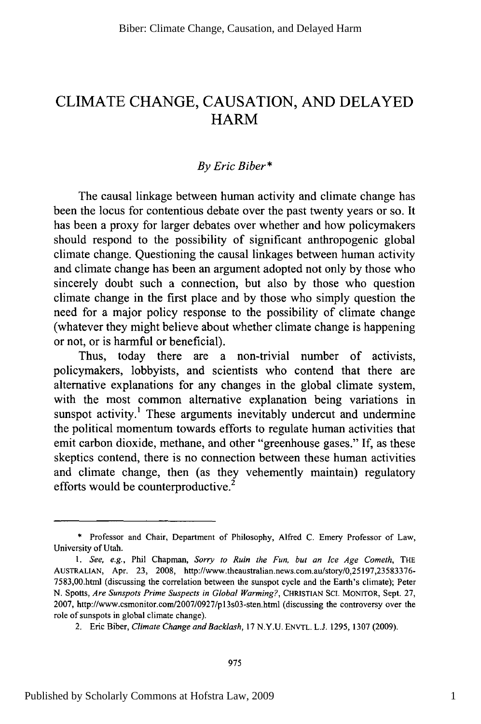### CLIMATE CHANGE, CAUSATION, AND DELAYED HARM

#### *By Eric Biber\**

The causal linkage between human activity and climate change has been the locus for contentious debate over the past twenty years or so. It has been a proxy for larger debates over whether and how policymakers should respond to the possibility of significant anthropogenic global climate change. Questioning the causal linkages between human activity and climate change has been an argument adopted not only by those who sincerely doubt such a connection, but also by those who question climate change in the first place and by those who simply question the need for a major policy response to the possibility of climate change (whatever they might believe about whether climate change is happening or not, or is harmful or beneficial).

Thus, today there are a non-trivial number of activists, policymakers, lobbyists, and scientists who contend that there are alternative explanations for any changes in the global climate system, with the most common alternative explanation being variations in sunspot activity.<sup>1</sup> These arguments inevitably undercut and undermine the political momentum towards efforts to regulate human activities that emit carbon dioxide, methane, and other "greenhouse gases." If, as these skeptics contend, there is no connection between these human activities and climate change, then (as they vehemently maintain) regulatory efforts would be counterproductive.<sup>2</sup>

<sup>\*</sup> Professor and Chair, Department of Philosophy, Alfred C. Emery Professor of Law, University of Utah.

*<sup>1.</sup> See, e.g.,* Phil Chapman, *Sorry to Ruin the Fun, but an Ice Age Cometh,* THE AUSTRALIAN, Apr. 23, 2008, http://www.theaustralian.news.com.au/story/0,25197,23583376- 7583,00.html (discussing the correlation between the sunspot cycle and the Earth's climate); Peter N. Spotts, *Are Sunspots Prime Suspects in Global Warming?,* CHRISTIAN SCI. MONITOR, Sept. 27, 2007, http://www.csmonitor.com/2007/0927/p13s03-sten.html (discussing the controversy over the role of sunspots in global climate change).

<sup>2.</sup> Eric Biber, *Climate Change and Backlash,* 17 N.Y.U. ENVTL. L.J. 1295, 1307 (2009).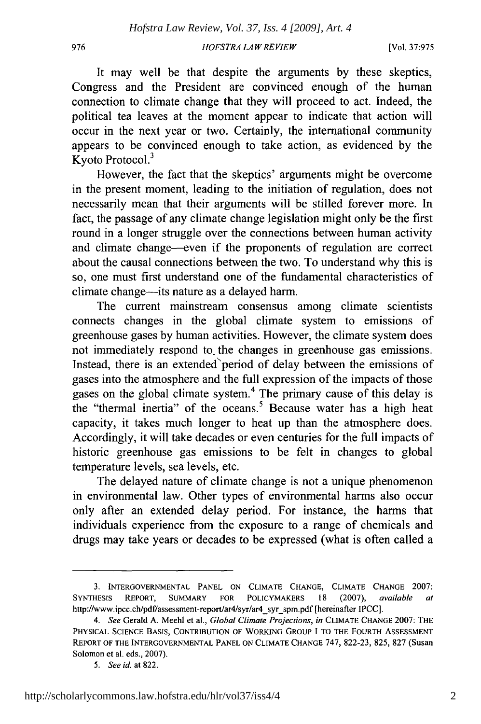976

#### *HOFSTRA LA W REVIEW*

[Vol. **37:975**

It may well be that despite the arguments by these skeptics, Congress and the President are convinced enough of the human connection to climate change that they will proceed to act. Indeed, the political tea leaves at the moment appear to indicate that action will occur in the next year or two. Certainly, the international community appears to be convinced enough to take action, as evidenced by the Kyoto Protocol.3

However, the fact that the skeptics' arguments might be overcome in the present moment, leading to the initiation of regulation, does not necessarily mean that their arguments will be stilled forever more. In fact, the passage of any climate change legislation might only be the first round in a longer struggle over the connections between human activity and climate change-even if the proponents of regulation are correct about the causal connections between the two. To understand why this is so, one must first understand one of the fundamental characteristics of climate change-its nature as a delayed harm.

The current mainstream consensus among climate scientists connects changes in the global climate system to emissions of greenhouse gases by human activities. However, the climate system does not immediately respond to the changes in greenhouse gas emissions. Instead, there is an extended period of delay between the emissions of gases into the atmosphere and the full expression of the impacts of those gases on the global climate system.<sup>4</sup> The primary cause of this delay is the "thermal inertia" of the oceans.<sup>5</sup> Because water has a high heat capacity, it takes much longer to heat up than the atmosphere does. Accordingly, it will take decades or even centuries for the full impacts of historic greenhouse gas emissions to be felt in changes to global temperature levels, sea levels, etc.

The delayed nature of climate change is not a unique phenomenon in environmental law. Other types of environmental harms also occur only after an extended delay period. For instance, the harms that individuals experience from the exposure to a range of chemicals and drugs may take years or decades to be expressed (what is often called a

<sup>3.</sup> **INTERGOVERNMENTAL PANEL ON CLIMATE CHANGE, CLIMATE CHANGE** 2007: **SYNTHESIS** REPORT, SUMMARY FOR POLICYMAKERS **18** (2007), *available at* http://www.ipcc.ch/pdf/assessment-report/ar4/syr/ar4\_syr\_spm.pdf [hereinafter IPCC].

*<sup>4.</sup> See* Gerald A. Meehl el al., *Global Climate Projections, in* CLIMATE **CHANGE** 2007: THE PHYSICAL **SCIENCE BASIS, CONTRIBUTION** OF WORKING GROUP I TO THE FOURTH ASSESSMENT REPORT OF THE **INTERGOVERNMENTAL PANEL ON CLIMATE CHANGE** 747, 822-23, 825, 827 (Susan Solomon et al. eds., 2007).

*<sup>5.</sup> See id.* at 822.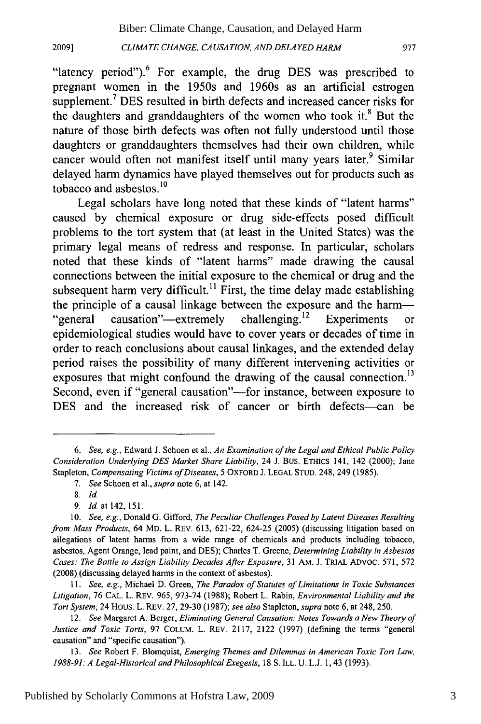*CLIMATE CHANGE, CAUSATION, AND DELAYED HARM*

"latency period").<sup>6</sup> For example, the drug DES was prescribed to pregnant women in the 1950s and 1960s as an artificial estrogen supplement.<sup>7</sup> DES resulted in birth defects and increased cancer risks for the daughters and granddaughters of the women who took it.8 But the nature of those birth defects was often not fully understood until those daughters or granddaughters themselves had their own children, while cancer would often not manifest itself until many years later.<sup>9</sup> Similar delayed harm dynamics have played themselves out for products such as tobacco and asbestos.<sup>10</sup>

Legal scholars have long noted that these kinds of "latent harms" caused by chemical exposure or drug side-effects posed difficult problems to the tort system that (at least in the United States) was the primary legal means of redress and response. In particular, scholars noted that these kinds of "latent harms" made drawing the causal connections between the initial exposure to the chemical or drug and the subsequent harm very difficult.<sup>11</sup> First, the time delay made establishing the principle of a causal linkage between the exposure and the harm- "general causation"—extremely challenging.<sup>12</sup> Experiments or epidemiological studies would have to cover years or decades of time in order to reach conclusions about causal linkages, and the extended delay period raises the possibility of many different intervening activities or exposures that might confound the drawing of the causal connection.<sup>13</sup> Second, even if "general causation"—for instance, between exposure to DES and the increased risk of cancer or birth defects-can be

**20091**

*<sup>6.</sup> See, e.g.,* Edward J. Schoen et al., *An Examination of the Legal and Ethical Public Policy Consideration Underlying DES Market Share Liability,* 24 J. Bus. ETHICS 141, 142 (2000); Jane Stapleton, *Compensating Victims of Diseases,* 5 OXFORD J. LEGAL STUD. 248, 249 (1985).

*<sup>7.</sup> See* Schoen et al., *supra* note 6, at 142.

<sup>8.</sup> *Id.*

*<sup>9.</sup>* Id.at142,151.

<sup>10.</sup> *See, e.g.,* Donald G. Gifford, *The Peculiar Challenges Posed by Latent Diseases Resulting from Mass Products,* 64 MD. L. REv. 613, 621-22, 624-25 (2005) (discussing litigation based on allegations of latent harms from a wide range of chemicals and products including tobacco, asbestos, Agent Orange, lead paint, and DES); Charles T. Greene, *Determining Liability in Asbestos Cases: The Battle to Assign Liability Decades After Exposure,* 31 AM. J. TRIAL ADVOC. 571, 572 (2008) (discussing delayed harms in the context of asbestos).

*<sup>11.</sup> See, e.g.,* Michael D. Green, *The Paradox of Statutes of Limitations in Toxic Substances Litigation,* 76 CAL. L. REV. 965, 973-74 (1988); Robert L. Rabin, *Environmental Liability and the Tort System,* 24 HOUS. L. REV. 27, 29-30 (1987); *see also* Stapleton, *supra* note 6, at 248, 250.

*<sup>12.</sup> See* Margaret A. Berger, *Eliminating General Causation: Notes Towards a New Theory of Justice and Toxic Torts,* 97 COLUM. L. REV. 2117, 2122 (1997) (defining the terms "general causation" and "specific causation").

<sup>13.</sup> *See* Robert F. Blomquist, *Emerging Themes and Dilemmas in American Toxic Tort Law, 1988-91: A Legal-Historical and Philosophical Exegesis,* 18 S. ILL. U. L.J. 1, 43 (1993).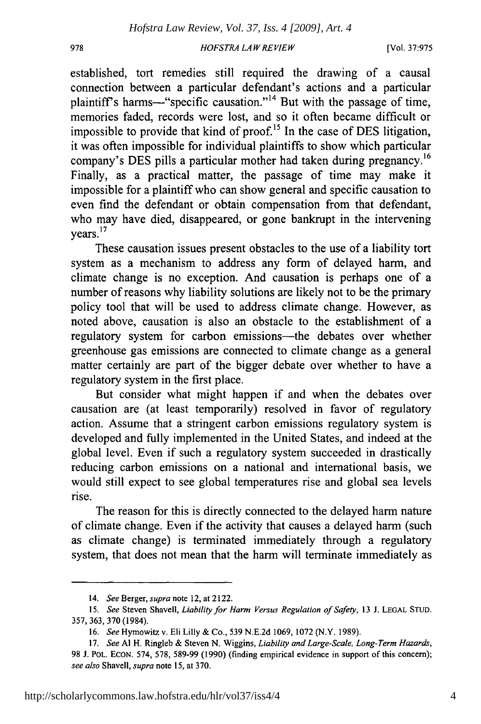978

#### *HOFSTRA LAW REVIEW*

[Vol. **37:975**

established, tort remedies still required the drawing of a causal connection between a particular defendant's actions and a particular plaintiff's harms-"specific causation."<sup>14</sup> But with the passage of time, memories faded, records were lost, and so it often became difficult or impossible to provide that kind of proof.<sup>15</sup> In the case of DES litigation, it was often impossible for individual plaintiffs to show which particular company's DES pills a particular mother had taken during pregnancy.<sup>16</sup> Finally, as a practical matter, the passage of time may make it impossible for a plaintiff who can show general and specific causation to even find the defendant or obtain compensation from that defendant, who may have died, disappeared, or gone bankrupt in the intervening  $\frac{17}{2}$  years.<sup>17</sup>

These causation issues present obstacles to the use of a liability tort system as a mechanism to address any form of delayed harm, and climate change is no exception. And causation is perhaps one of a number of reasons why liability solutions are likely not to be the primary policy tool that will be used to address climate change. However, as noted above, causation is also an obstacle to the establishment of a regulatory system for carbon emissions-the debates over whether greenhouse gas emissions are connected to climate change as a general matter certainly are part of the bigger debate over whether to have a regulatory system in the first place.

But consider what might happen if and when the debates over causation are (at least temporarily) resolved in favor of regulatory action. Assume that a stringent carbon emissions regulatory system is developed and fully implemented in the United States, and indeed at the global level. Even if such a regulatory system succeeded in drastically reducing carbon emissions on a national and international basis, we would still expect to see global temperatures rise and global sea levels rise.

The reason for this is directly connected to the delayed harm nature of climate change. Even if the activity that causes a delayed harm (such as climate change) is terminated immediately through a regulatory system, that does not mean that the harm will terminate immediately as

<sup>14.</sup> *See* Berger, *supra* note 12, at 2122.

*<sup>15.</sup> See* Steven Shavell, *Liability for Harm Versus Regulation of Safety,* 13 J. **LEGAL STUD.** 357, 363, 370 (1984).

<sup>16.</sup> *See* Hymowitz v. Eli Lilly & Co., 539 N.E.2d 1069, 1072 (N.Y. 1989).

<sup>17.</sup> *See* **Al** H. Ringleb & Steven N. Wiggins, *Liability and Large-Scale, Long-Term Hazards,* 98 J. POL. EcON. 574, 578, 589-99 (1990) (finding empirical evidence in support of this concern); *see also* Shavell, *supra* note 15, at 370.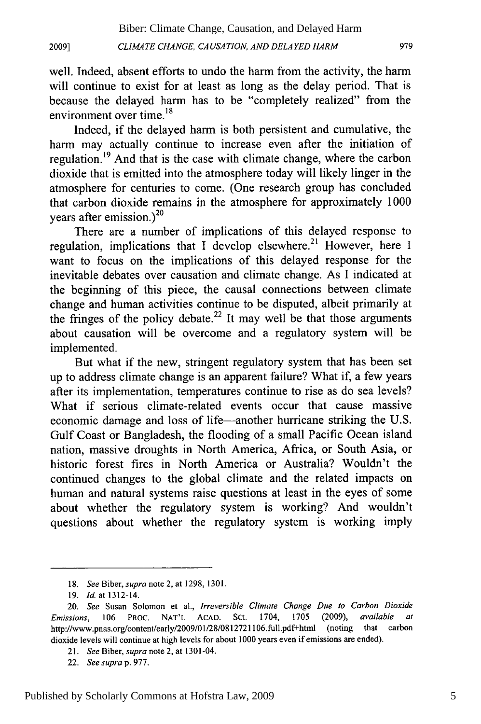*CLIMATE CHANGE, CA USA TION, AND DELAYED HARM* **2009] 979**

well. Indeed, absent efforts to undo the harm from the activity, the harm will continue to exist for at least as long as the delay period. That is because the delayed harm has to be "completely realized" from the environment over time.<sup>18</sup>

Indeed, if the delayed harm is both persistent and cumulative, the harm may actually continue to increase even after the initiation of regulation.<sup>19</sup> And that is the case with climate change, where the carbon dioxide that is emitted into the atmosphere today will likely linger in the atmosphere for centuries to come. (One research group has concluded that carbon dioxide remains in the atmosphere for approximately 1000 years after emission.) $^{20}$ 

There are a number of implications of this delayed response to regulation, implications that I develop elsewhere.<sup>21</sup> However, here I want to focus on the implications of this delayed response for the inevitable debates over causation and climate change. As I indicated at the beginning of this piece, the causal connections between climate change and human activities continue to be disputed, albeit primarily at the fringes of the policy debate.<sup>22</sup> It may well be that those arguments about causation will be overcome and a regulatory system will be implemented.

But what if the new, stringent regulatory system that has been set up to address climate change is an apparent failure? What if, a few years after its implementation, temperatures continue to rise as do sea levels? What if serious climate-related events occur that cause massive economic damage and loss of life-another hurricane striking the U.S. Gulf Coast or Bangladesh, the flooding of a small Pacific Ocean island nation, massive droughts in North America, Africa, or South Asia, or historic forest fires in North America or Australia? Wouldn't the continued changes to the global climate and the related impacts on human and natural systems raise questions at least in the eyes of some about whether the regulatory system is working? And wouldn't questions about whether the regulatory system is working imply

<sup>18.</sup> *See Biber, supra* note 2, at 1298, 1301.

<sup>19.</sup> *Id.* at 1312-14.

<sup>20.</sup> *See* Susan Solomon et al., *Irreversible Climate Change Due to Carbon Dioxide* Emissions, 106 PROC. NAT'L ACAD. SC. 1704, 1705 (2009), available *at* http://www.pnas.org/content/early/2009/01/28/0812721106.full.pdf+html (noting that carbon dioxide levels will continue at high levels for about 1000 years even if emissions are ended).

<sup>21.</sup> *See* Biber, supra note 2, at 1301-04.

<sup>22.</sup> *Seesuprap.* 977.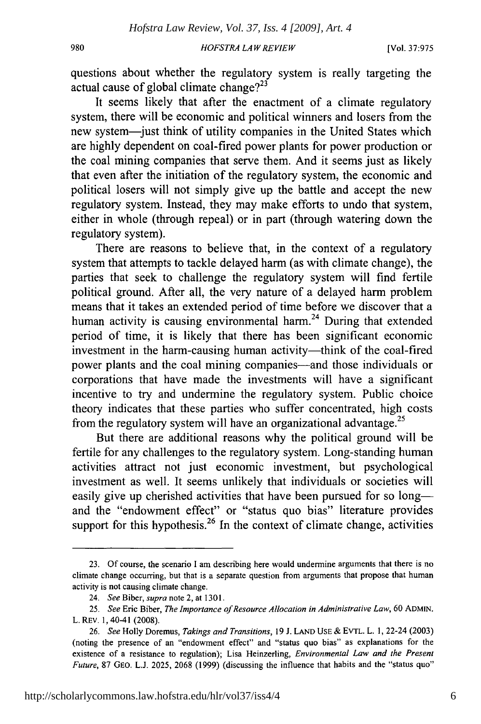#### *HOFSTRA LA W REVIEW*

questions about whether the regulatory system is really targeting the actual cause of global climate change? $2^{23}$ 

It seems likely that after the enactment of a climate regulatory system, there will be economic and political winners and losers from the new system-just think of utility companies in the United States which are highly dependent on coal-fired power plants for power production or the coal mining companies that serve them. And it seems just as likely that even after the initiation of the regulatory system, the economic and political losers will not simply give up the battle and accept the new regulatory system. Instead, they may make efforts to undo that system, either in whole (through repeal) or in part (through watering down the regulatory system).

There are reasons to believe that, in the context of a regulatory system that attempts to tackle delayed harm (as with climate change), the parties that seek to challenge the regulatory system will find fertile political ground. After all, the very nature of a delayed harm problem means that it takes an extended period of time before we discover that a human activity is causing environmental harm.<sup>24</sup> During that extended period of time, it is likely that there has been significant economic investment in the harm-causing human activity-think of the coal-fired power plants and the coal mining companies-and those individuals or corporations that have made the investments will have a significant incentive to try and undermine the regulatory system. Public choice theory indicates that these parties who suffer concentrated, high costs from the regulatory system will have an organizational advantage.<sup>25</sup>

But there are additional reasons why the political ground will be fertile for any challenges to the regulatory system. Long-standing human activities attract not just economic investment, but psychological investment as well. It seems unlikely that individuals or societies will easily give up cherished activities that have been pursued for so long and the "endowment effect" or "status quo bias" literature provides support for this hypothesis.<sup>26</sup> In the context of climate change, activities

<sup>23.</sup> Of course, the scenario I am describing here would undermine arguments that there is no climate change occurring, but that is a separate question from arguments that propose that human activity is not causing climate change.

<sup>24.</sup> *See* Biber, *supra* note 2, at 1301.

<sup>25.</sup> *See* Eric Biber, *The Importance of Resource Allocation in Administrative Law,* 60 ADMIN. L. REv. 1,40-41 (2008).

<sup>26.</sup> *See* Holly Doremus, *Takings and Transitions,* 19 J. **LAND USE &** EVTL. L. 1, 22-24 (2003) (noting the presence of an "endowment effect" and "status quo bias" as explanations for the existence of a resistance to regulation); Lisa Heinzerling, *Environmental Law and the Present Future,* 87 GEO. L.J. 2025, 2068 (1999) (discussing the influence that habits and the "status quo"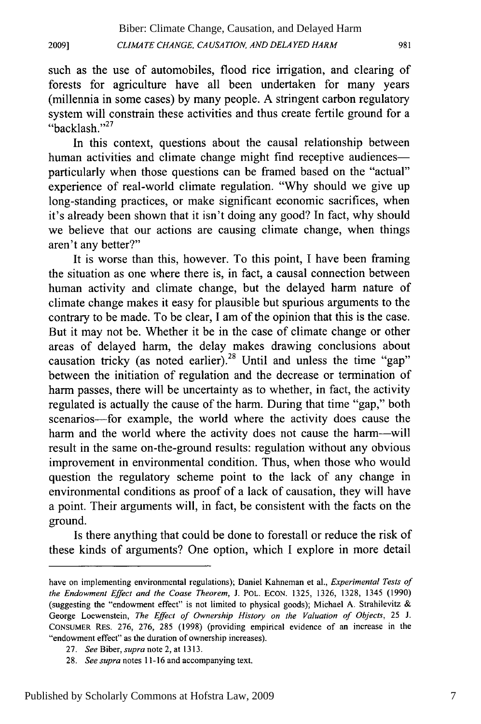**2009]**

such as the use of automobiles, flood rice irrigation, and clearing of forests for agriculture have all been undertaken for many years (millennia in some cases) by many people. A stringent carbon regulatory system will constrain these activities and thus create fertile ground for a "backlash." 27

In this context, questions about the causal relationship between human activities and climate change might find receptive audiences particularly when those questions can be framed based on the "actual" experience of real-world climate regulation. "Why should we give up long-standing practices, or make significant economic sacrifices, when it's already been shown that it isn't doing any good? In fact, why should we believe that our actions are causing climate change, when things aren't any better?"

It is worse than this, however. To this point, I have been framing the situation as one where there is, in fact, a causal connection between human activity and climate change, but the delayed harm nature of climate change makes it easy for plausible but spurious arguments to the contrary to be made. To be clear, I am of the opinion that this is the case. But it may not be. Whether it be in the case of climate change or other areas of delayed harm, the delay makes drawing conclusions about causation tricky (as noted earlier).<sup>28</sup> Until and unless the time "gap" between the initiation of regulation and the decrease or termination of harm passes, there will be uncertainty as to whether, in fact, the activity regulated is actually the cause of the harm. During that time "gap," both scenarios—for example, the world where the activity does cause the harm and the world where the activity does not cause the harm—will result in the same on-the-ground results: regulation without any obvious improvement in environmental condition. Thus, when those who would question the regulatory scheme point to the lack of any change in environmental conditions as proof of a lack of causation, they will have a point. Their arguments will, in fact, be consistent with the facts on the ground.

Is there anything that could be done to forestall or reduce the risk of these kinds of arguments? One option, which I explore in more detail

have on implementing environmental regulations); Daniel Kahneman et al., *Experimental Tests of* the Endowment Effect and the Coase Theorem, J. POL. ECON. 1325, 1326, 1328, 1345 (1990) (suggesting the "endowment effect" is not limited to physical goods); Michael A. Strahilevitz & George Loewenstein, *The Effect of Ownership History on the Valuation of Objects,* 25 J. CONSUMER RES. 276, 276, 285 (1998) (providing empirical evidence of an increase in the "endowment effect" as the duration of ownership increases).

<sup>27.</sup> *See* Biber, *supra* note 2, at 1313.

<sup>28.</sup> See supra notes 11-16 and accompanying text.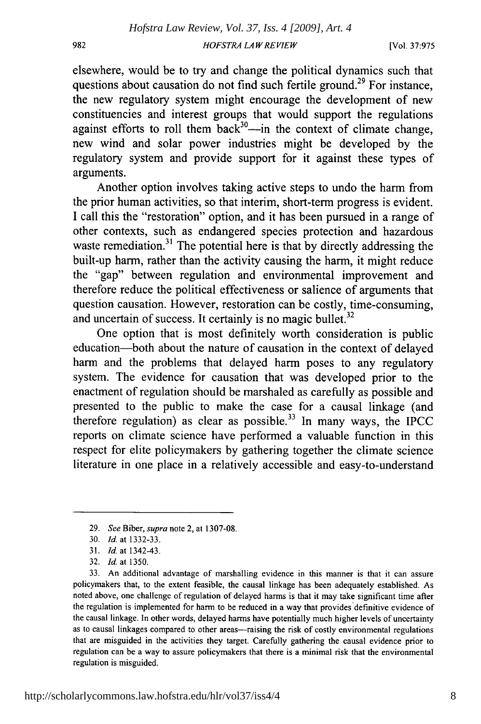elsewhere, would be to try and change the political dynamics such that questions about causation do not find such fertile ground.<sup>29</sup> For instance, the new regulatory system might encourage the development of new constituencies and interest groups that would support the regulations against efforts to roll them back<sup>30</sup>—in the context of climate change new wind and solar power industries might be developed by the regulatory system and provide support for it against these types of arguments.

Another option involves taking active steps to undo the harm from the prior human activities, so that interim, short-term progress is evident. I call this the "restoration" option, and it has been pursued in a range of other contexts, such as endangered species protection and hazardous waste remediation.<sup>31</sup> The potential here is that by directly addressing the built-up harm, rather than the activity causing the harm, it might reduce the "gap" between regulation and environmental improvement and therefore reduce the political effectiveness or salience of arguments that question causation. However, restoration can be costly, time-consuming, and uncertain of success. It certainly is no magic bullet. $32$ 

One option that is most definitely worth consideration is public education-both about the nature of causation in the context of delayed harm and the problems that delayed harm poses to any regulatory system. The evidence for causation that was developed prior to the enactment of regulation should be marshaled as carefully as possible and presented to the public to make the case for a causal linkage (and therefore regulation) as clear as possible. $33$  In many ways, the IPCC reports on climate science have performed a valuable function in this respect for elite policymakers by gathering together the climate science literature in one place in a relatively accessible and easy-to-understand

982

<sup>29.</sup> *See* Biber, supra note 2, at 1307-08.

<sup>30.</sup> *Id.* at 1332-33.

<sup>31.</sup> *Id.* at 1342-43.

<sup>32.</sup> *Id.* at 1350.

<sup>33.</sup> An additional advantage of marshalling evidence in this manner is that it can assure policymakers that, to the extent feasible, the causal linkage has been adequately established. As noted above, one challenge of regulation of delayed harms is that it may take significant time after the regulation is implemented for harm to be reduced in a way that provides'definitive evidence of the causal linkage. In other words, delayed harms have potentially much higher levels of uncertainty as to causal linkages compared to other areas-raising the risk of costly environmental regulations that are misguided in the activities they target. Carefully gathering the causal evidence prior to regulation can be a way to assure policymakers that there is a minimal risk that the environmental regulation is misguided.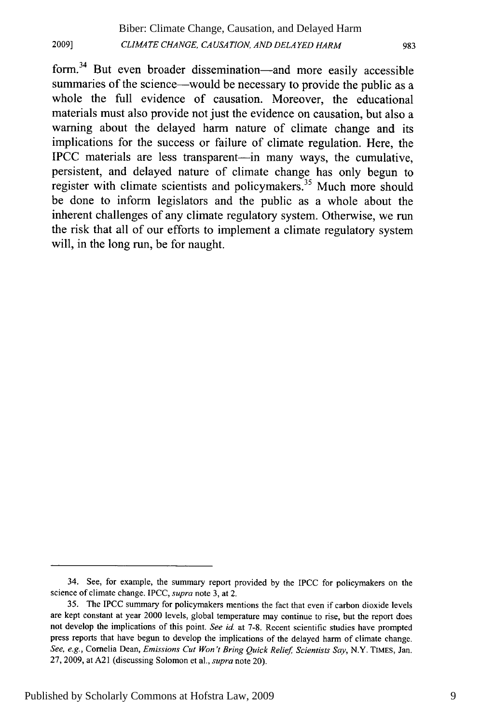form.<sup>34</sup> But even broader dissemination—and more easily accessible summaries of the science—would be necessary to provide the public as a whole the full evidence of causation. Moreover, the educational materials must also provide not just the evidence on causation, but also a warning about the delayed harm nature of climate change and its implications for the success or failure of climate regulation. Here, the IPCC materials are less transparent-in many ways, the cumulative, persistent, and delayed nature of climate change has only begun to register with climate scientists and policymakers.<sup>35</sup> Much more should be done to inform legislators and the public as a whole about the inherent challenges of any climate regulatory system. Otherwise, we run the risk that all of our efforts to implement a climate regulatory system will, in the long run, be for naught.

<sup>34.</sup> See, for example, the summary report provided by the IPCC for policymakers on the science of climate change. IPCC, *supra* note 3, at 2.

<sup>35.</sup> The IPCC summary for policymakers mentions the fact that even if carbon dioxide levels are kept constant at year 2000 levels, global temperature may continue to rise, but the report does not develop the implications of this point. *See id.* at 7-8. Recent scientific studies have prompted press reports that have begun to develop the implications of the delayed harm of climate change. *See, e.g.,* Cornelia Dean, *Emissions Cut Won't Bring Quick Relief Scientists Say,* N.Y. **TIMES,** Jan. 27, 2009, at A21 (discussing Solomon et al., *supra* note 20).